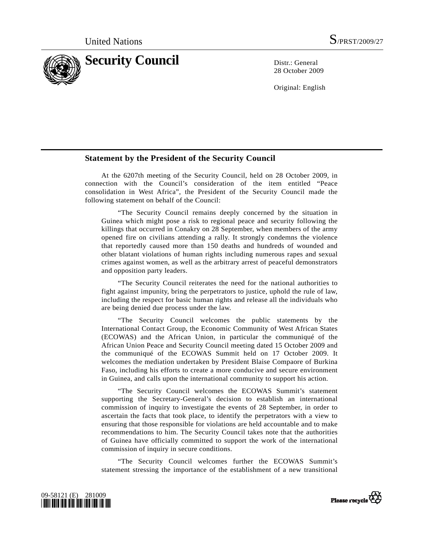

28 October 2009

Original: English

## **Statement by the President of the Security Council**

 At the 6207th meeting of the Security Council, held on 28 October 2009, in connection with the Council's consideration of the item entitled "Peace consolidation in West Africa", the President of the Security Council made the following statement on behalf of the Council:

 "The Security Council remains deeply concerned by the situation in Guinea which might pose a risk to regional peace and security following the killings that occurred in Conakry on 28 September, when members of the army opened fire on civilians attending a rally. It strongly condemns the violence that reportedly caused more than 150 deaths and hundreds of wounded and other blatant violations of human rights including numerous rapes and sexual crimes against women, as well as the arbitrary arrest of peaceful demonstrators and opposition party leaders.

 "The Security Council reiterates the need for the national authorities to fight against impunity, bring the perpetrators to justice, uphold the rule of law, including the respect for basic human rights and release all the individuals who are being denied due process under the law.

 "The Security Council welcomes the public statements by the International Contact Group, the Economic Community of West African States (ECOWAS) and the African Union, in particular the communiqué of the African Union Peace and Security Council meeting dated 15 October 2009 and the communiqué of the ECOWAS Summit held on 17 October 2009. It welcomes the mediation undertaken by President Blaise Compaore of Burkina Faso, including his efforts to create a more conducive and secure environment in Guinea, and calls upon the international community to support his action.

 "The Security Council welcomes the ECOWAS Summit's statement supporting the Secretary-General's decision to establish an international commission of inquiry to investigate the events of 28 September, in order to ascertain the facts that took place, to identify the perpetrators with a view to ensuring that those responsible for violations are held accountable and to make recommendations to him. The Security Council takes note that the authorities of Guinea have officially committed to support the work of the international commission of inquiry in secure conditions.

 "The Security Council welcomes further the ECOWAS Summit's statement stressing the importance of the establishment of a new transitional